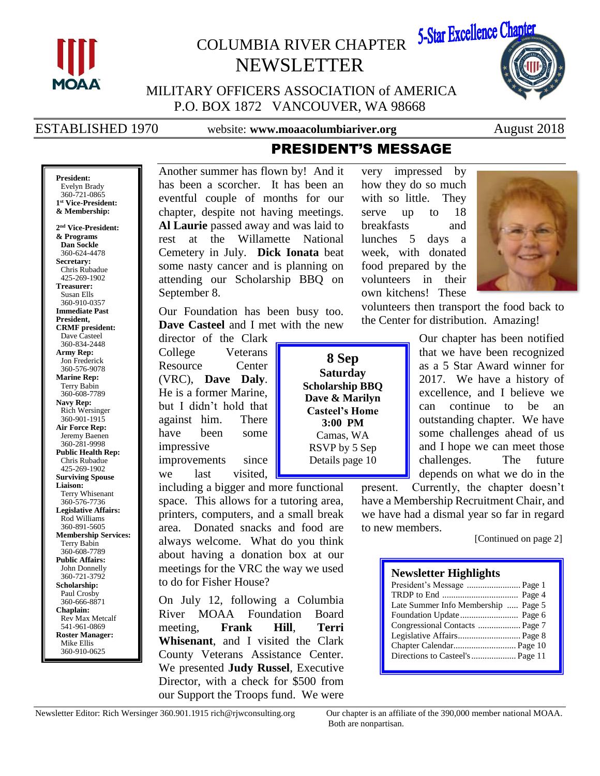

# COLUMBIA RIVER CHAPTER NEWSLETTER



MILITARY OFFICERS ASSOCIATION of AMERICA P.O. BOX 1872 VANCOUVER, WA 98668

ESTABLISHED 1970 website: **www.moaacolumbiariver.org** August 2018

# PRESIDENT'S MESSAGE

**President:** Evelyn Brady 360-721-0865 **1 st Vice-President: & Membership:**

**2 nd Vice-President: & Programs Dan Sockle** 360-624-4478 **Secretary:** Chris Rubadue 425-269-1902 **Treasurer:** Susan Ells 360-910-0357 **Immediate Past President, CRMF president:** Dave Casteel 360-834-2448 **Army Rep:** Jon Frederick 360-576-9078 **Marine Rep:** Terry Babin 360-608-7789 **Navy Rep:** Rich Wersinger 360-901-1915 **Air Force Rep:** Jeremy Baenen 360-281-9998 **Public Health Rep:** Chris Rubadue 425-269-1902 **Surviving Spouse Liaison:** Terry Whisenant 360-576-7736 **Legislative Affairs:** Rod Williams 360-891-5605 **Membership Services:** Terry Babin 360-608-7789 **Public Affairs:** John Donnelly 360-721-3792 **Scholarship:** Paul Crosby 360-666-8871 **Chaplain:** Rev Max Metcalf 541-961-0869 **Roster Manager:** Mike Ellis 360-910-0625

Another summer has flown by! And it has been a scorcher. It has been an eventful couple of months for our chapter, despite not having meetings. **Al Laurie** passed away and was laid to rest at the Willamette National Cemetery in July. **Dick Ionata** beat some nasty cancer and is planning on attending our Scholarship BBQ on September 8.

Our Foundation has been busy too. **Dave Casteel** and I met with the new

director of the Clark College Veterans Resource Center (VRC), **Dave Daly**. He is a former Marine, but I didn't hold that against him. There have been some impressive improvements since we last visited,

including a bigger and more functional space. This allows for a tutoring area, printers, computers, and a small break area. Donated snacks and food are always welcome. What do you think about having a donation box at our meetings for the VRC the way we used to do for Fisher House?

On July 12, following a Columbia River MOAA Foundation Board meeting, **Frank Hill**, **Terri Whisenant**, and I visited the Clark County Veterans Assistance Center. We presented **Judy Russel**, Executive Director, with a check for \$500 from our Support the Troops fund. We were

**8 Sep Saturday Scholarship BBQ Dave & Marilyn Casteel's Home 3:00 PM** Camas, WA RSVP by 5 Sep Details page 10

very impressed by how they do so much with so little. They serve up to 18 breakfasts and lunches 5 days a week, with donated food prepared by the volunteers in their own kitchens! These



Our chapter has been notified that we have been recognized as a 5 Star Award winner for 2017. We have a history of excellence, and I believe we can continue to be an outstanding chapter. We have some challenges ahead of us and I hope we can meet those challenges. The future depends on what we do in the

present. Currently, the chapter doesn't have a Membership Recruitment Chair, and we have had a dismal year so far in regard to new members.

volunteers then transport the food back to the Center for distribution. Amazing!

[Continued on page 2]

### **Newsletter Highlights**

| President's Message  Page 1         |
|-------------------------------------|
|                                     |
| Late Summer Info Membership  Page 5 |
|                                     |
| Congressional Contacts  Page 7      |
|                                     |
|                                     |
| Directions to Casteel's  Page 11    |
|                                     |

Both are nonpartisan.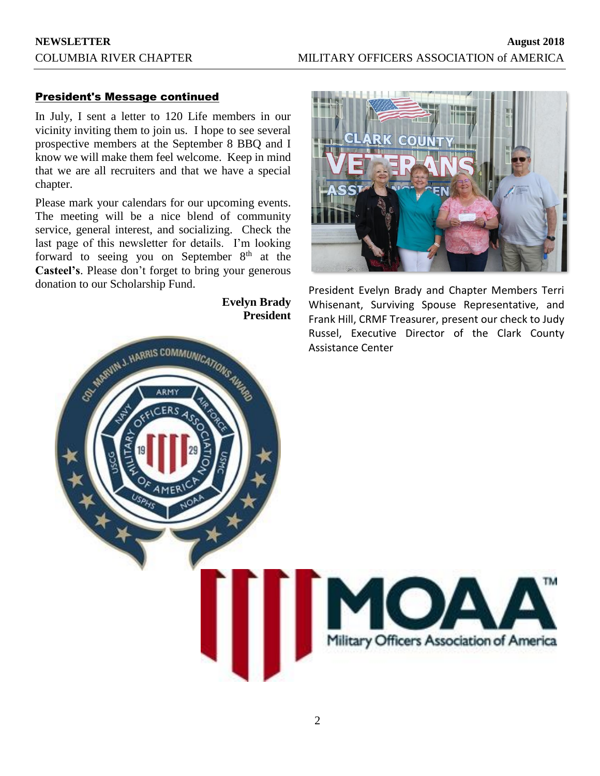## President's Message continued

In July, I sent a letter to 120 Life members in our vicinity inviting them to join us. I hope to see several prospective members at the September 8 BBQ and I know we will make them feel welcome. Keep in mind that we are all recruiters and that we have a special chapter.

Please mark your calendars for our upcoming events. The meeting will be a nice blend of community service, general interest, and socializing. Check the last page of this newsletter for details. I'm looking forward to seeing you on September  $8<sup>th</sup>$  at the **Casteel's**. Please don't forget to bring your generous donation to our Scholarship Fund.

**Evelyn Brady President**



President Evelyn Brady and Chapter Members Terri Whisenant, Surviving Spouse Representative, and Frank Hill, CRMF Treasurer, present our check to Judy Russel, Executive Director of the Clark County Assistance Center

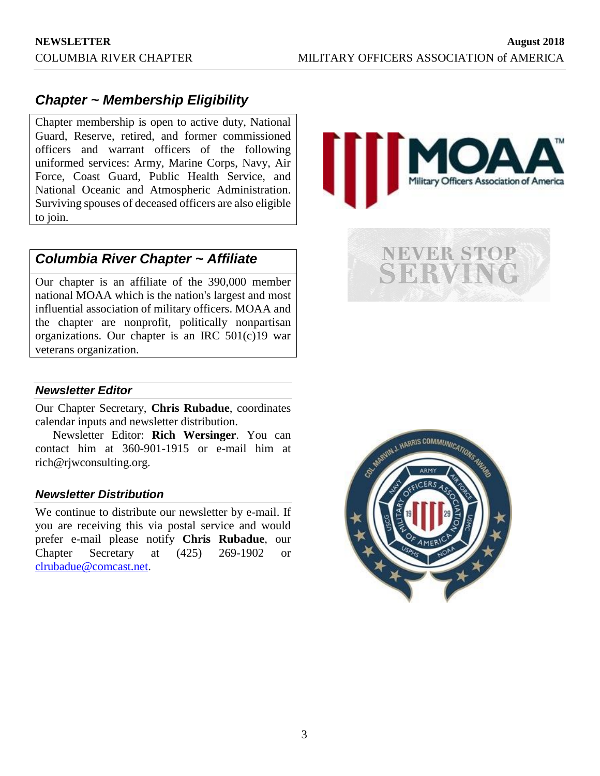# *Chapter ~ Membership Eligibility*

Chapter membership is open to active duty, National Guard, Reserve, retired, and former commissioned officers and warrant officers of the following uniformed services: Army, Marine Corps, Navy, Air Force, Coast Guard, Public Health Service, and National Oceanic and Atmospheric Administration. Surviving spouses of deceased officers are also eligible to join.

# *Columbia River Chapter ~ Affiliate*

Our chapter is an affiliate of the 390,000 member national MOAA which is the nation's largest and most influential association of military officers. MOAA and the chapter are nonprofit, politically nonpartisan organizations. Our chapter is an IRC 501(c)19 war veterans organization.



*Newsletter Editor*

Our Chapter Secretary, **Chris Rubadue**, coordinates calendar inputs and newsletter distribution.

Newsletter Editor: **Rich Wersinger**. You can contact him at 360-901-1915 or e-mail him at rich@rjwconsulting.org.

#### *Newsletter Distribution*

We continue to distribute our newsletter by e-mail. If you are receiving this via postal service and would prefer e-mail please notify **Chris Rubadue**, our Chapter Secretary at (425) 269-1902 or [clrubadue@comcast.net.](mailto:clrubadue@comcast.net)

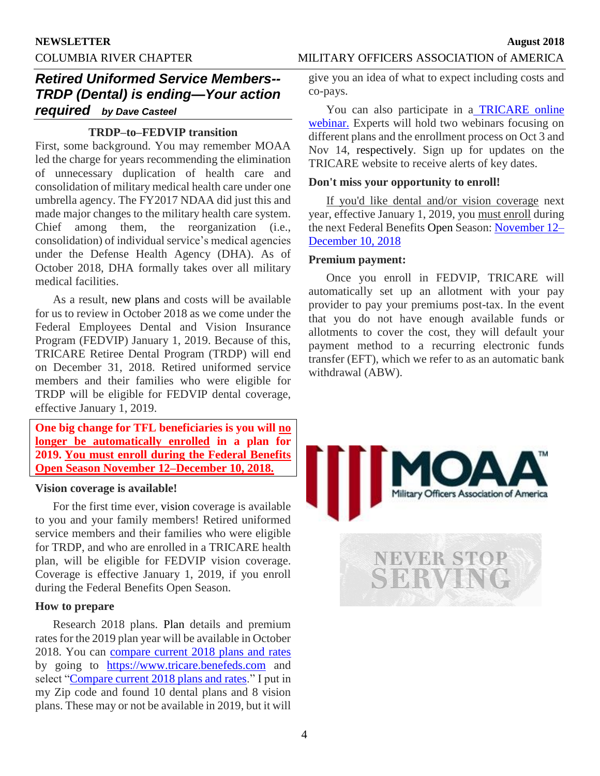## COLUMBIA RIVER CHAPTER MILITARY OFFICERS ASSOCIATION of AMERICA

# *Retired Uniformed Service Members-- TRDP (Dental) is ending—Your action required by Dave Casteel*

## **TRDP–to–FEDVIP transition**

First, some background. You may remember MOAA led the charge for years recommending the elimination of unnecessary duplication of health care and consolidation of military medical health care under one umbrella agency. The FY2017 NDAA did just this and made major changes to the military health care system. Chief among them, the reorganization (i.e., consolidation) of individual service's medical agencies under the Defense Health Agency (DHA). As of October 2018, DHA formally takes over all military medical facilities.

As a result, new plans and costs will be available for us to review in October 2018 as we come under the Federal Employees Dental and Vision Insurance Program (FEDVIP) January 1, 2019. Because of this, TRICARE Retiree Dental Program (TRDP) will end on December 31, 2018. Retired uniformed service members and their families who were eligible for TRDP will be eligible for FEDVIP dental coverage, effective January 1, 2019.

**One big change for TFL beneficiaries is you will no longer be automatically enrolled in a plan for 2019. You must enroll during the Federal Benefits Open Season November 12–December 10, 2018.**

#### **Vision coverage is available!**

For the first time ever, vision coverage is available to you and your family members! Retired uniformed service members and their families who were eligible for TRDP, and who are enrolled in a TRICARE health plan, will be eligible for FEDVIP vision coverage. Coverage is effective January 1, 2019, if you enroll during the Federal Benefits Open Season.

#### **How to prepare**

Research 2018 plans. Plan details and premium rates for the 2019 plan year will be available in October 2018. You can [compare current 2018 plans and rates](compare%20current%202018%20plans%20and%20rates) by going to [https://www.tricare.benefeds.com](https://www.tricare.benefeds.com/) and select ["Compare current 2018 plans and rates.](https://www.tricare.benefeds.com/)" I put in my Zip code and found 10 dental plans and 8 vision plans. These may or not be available in 2019, but it will

give you an idea of what to expect including costs and co-pays.

You can also participate in a [TRICARE online](https://www.tricare.benefeds.com/)  [webinar.](https://www.tricare.benefeds.com/) Experts will hold two webinars focusing on different plans and the enrollment process on Oct 3 and Nov 14, respectively. Sign up for updates on the TRICARE website to receive alerts of key dates.

### **Don't miss your opportunity to enroll!**

If you'd like dental and/or vision coverage next year, effective January 1, 2019, you must enroll during the next Federal Benefits Open Season: [November 12–](https://www.tricare.benefeds.com/ical/Federal_Benefits_Open_Season_for_FEDVIP.ics) [December 10, 2018](https://www.tricare.benefeds.com/ical/Federal_Benefits_Open_Season_for_FEDVIP.ics) 

### **Premium payment:**

Once you enroll in FEDVIP, TRICARE will automatically set up an allotment with your pay provider to pay your premiums post-tax. In the event that you do not have enough available funds or allotments to cover the cost, they will default your payment method to a recurring electronic funds transfer (EFT), which we refer to as an automatic bank withdrawal (ABW).

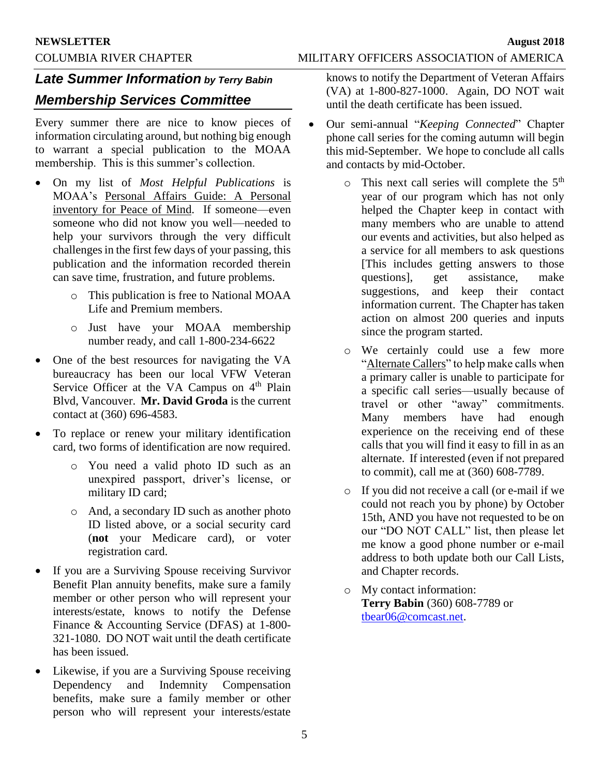# *Late Summer Information by Terry Babin*

# *Membership Services Committee*

Every summer there are nice to know pieces of information circulating around, but nothing big enough to warrant a special publication to the MOAA membership. This is this summer's collection.

- On my list of *Most Helpful Publications* is MOAA's Personal Affairs Guide: A Personal inventory for Peace of Mind. If someone—even someone who did not know you well—needed to help your survivors through the very difficult challenges in the first few days of your passing, this publication and the information recorded therein can save time, frustration, and future problems.
	- o This publication is free to National MOAA Life and Premium members.
	- o Just have your MOAA membership number ready, and call 1-800-234-6622
- One of the best resources for navigating the VA bureaucracy has been our local VFW Veteran Service Officer at the VA Campus on 4<sup>th</sup> Plain Blvd, Vancouver. **Mr. David Groda** is the current contact at (360) 696-4583.
- To replace or renew your military identification card, two forms of identification are now required.
	- o You need a valid photo ID such as an unexpired passport, driver's license, or military ID card;
	- o And, a secondary ID such as another photo ID listed above, or a social security card (**not** your Medicare card), or voter registration card.
- If you are a Surviving Spouse receiving Survivor Benefit Plan annuity benefits, make sure a family member or other person who will represent your interests/estate, knows to notify the Defense Finance & Accounting Service (DFAS) at 1-800- 321-1080. DO NOT wait until the death certificate has been issued.
- Likewise, if you are a Surviving Spouse receiving Dependency and Indemnity Compensation benefits, make sure a family member or other person who will represent your interests/estate

knows to notify the Department of Veteran Affairs (VA) at 1-800-827-1000. Again, DO NOT wait until the death certificate has been issued.

- Our semi-annual "*Keeping Connected*" Chapter phone call series for the coming autumn will begin this mid-September. We hope to conclude all calls and contacts by mid-October.
	- $\circ$  This next call series will complete the  $5<sup>th</sup>$ year of our program which has not only helped the Chapter keep in contact with many members who are unable to attend our events and activities, but also helped as a service for all members to ask questions [This includes getting answers to those questions], get assistance, make suggestions, and keep their contact information current. The Chapter has taken action on almost 200 queries and inputs since the program started.
	- o We certainly could use a few more "Alternate Callers" to help make calls when a primary caller is unable to participate for a specific call series—usually because of travel or other "away" commitments. Many members have had enough experience on the receiving end of these calls that you will find it easy to fill in as an alternate. If interested (even if not prepared to commit), call me at (360) 608-7789.
	- o If you did not receive a call (or e-mail if we could not reach you by phone) by October 15th, AND you have not requested to be on our "DO NOT CALL" list, then please let me know a good phone number or e-mail address to both update both our Call Lists, and Chapter records.
	- o My contact information: **Terry Babin** (360) 608-7789 or [tbear06@comcast.net.](mailto:tbear06@comcast.net)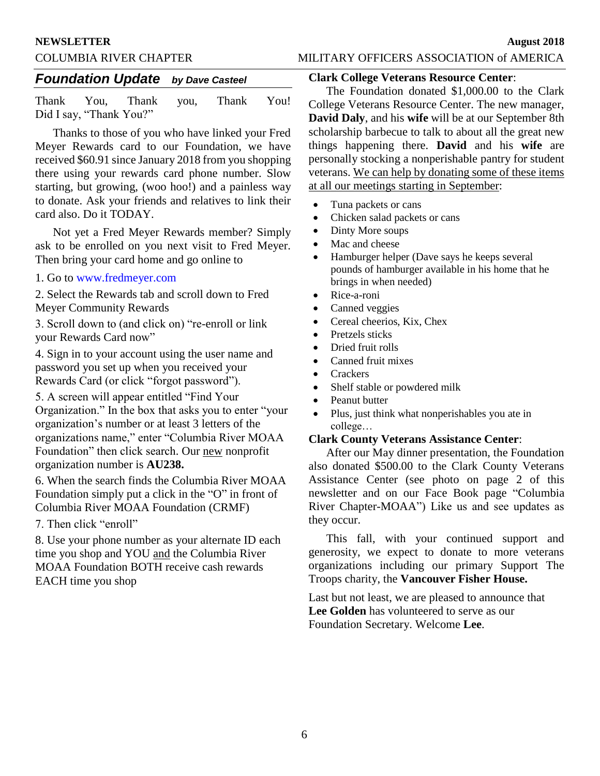#### **NEWSLETTER August 2018**

## COLUMBIA RIVER CHAPTER MILITARY OFFICERS ASSOCIATION of AMERICA

## *Foundation Update by Dave Casteel*

Thank You, Thank you, Thank You! Did I say, "Thank You?"

Thanks to those of you who have linked your Fred Meyer Rewards card to our Foundation, we have received \$60.91 since January 2018 from you shopping there using your rewards card phone number. Slow starting, but growing, (woo hoo!) and a painless way to donate. Ask your friends and relatives to link their card also. Do it TODAY.

Not yet a Fred Meyer Rewards member? Simply ask to be enrolled on you next visit to Fred Meyer. Then bring your card home and go online to

#### 1. Go to www.fredmeyer.com

2. Select the Rewards tab and scroll down to Fred Meyer Community Rewards

3. Scroll down to (and click on) "re-enroll or link your Rewards Card now"

4. Sign in to your account using the user name and password you set up when you received your Rewards Card (or click "forgot password").

5. A screen will appear entitled "Find Your Organization." In the box that asks you to enter "your organization's number or at least 3 letters of the organizations name," enter "Columbia River MOAA Foundation" then click search. Our new nonprofit organization number is **AU238.** 

6. When the search finds the Columbia River MOAA Foundation simply put a click in the "O" in front of Columbia River MOAA Foundation (CRMF)

7. Then click "enroll"

8. Use your phone number as your alternate ID each time you shop and YOU and the Columbia River MOAA Foundation BOTH receive cash rewards EACH time you shop

## **Clark College Veterans Resource Center**:

The Foundation donated \$1,000.00 to the Clark College Veterans Resource Center. The new manager, **David Daly**, and his **wife** will be at our September 8th scholarship barbecue to talk to about all the great new things happening there. **David** and his **wife** are personally stocking a nonperishable pantry for student veterans. We can help by donating some of these items at all our meetings starting in September:

- Tuna packets or cans
- Chicken salad packets or cans
- Dinty More soups
- Mac and cheese
- Hamburger helper (Dave says he keeps several pounds of hamburger available in his home that he brings in when needed)
- Rice-a-roni
- Canned veggies
- Cereal cheerios, Kix, Chex
- Pretzels sticks
- Dried fruit rolls
- Canned fruit mixes
- Crackers
- Shelf stable or powdered milk
- Peanut butter
- Plus, just think what nonperishables you ate in college…

## **Clark County Veterans Assistance Center**:

After our May dinner presentation, the Foundation also donated \$500.00 to the Clark County Veterans Assistance Center (see photo on page 2 of this newsletter and on our Face Book page "Columbia River Chapter-MOAA") Like us and see updates as they occur.

This fall, with your continued support and generosity, we expect to donate to more veterans organizations including our primary Support The Troops charity, the **Vancouver Fisher House.**

Last but not least, we are pleased to announce that **Lee Golden** has volunteered to serve as our Foundation Secretary. Welcome **Lee**.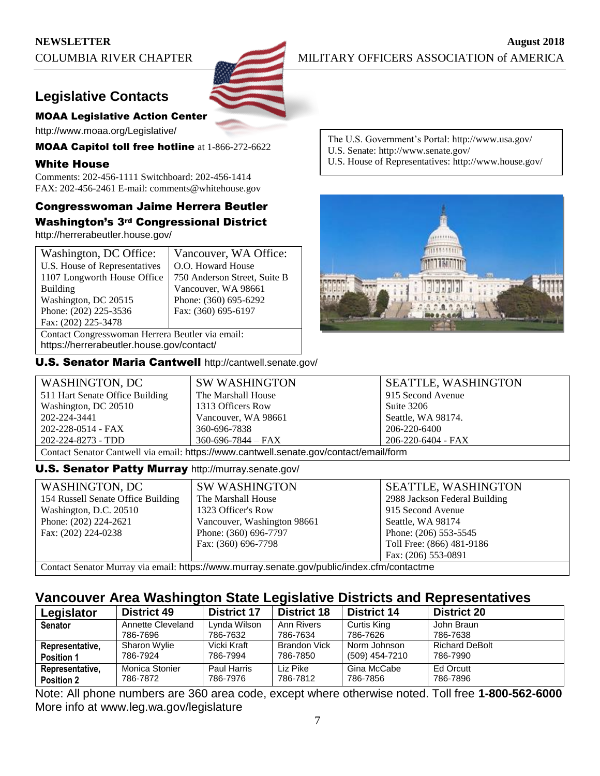

# **Legislative Contacts**

## MOAA Legislative Action Center

http://www.moaa.org/Legislative/

MOAA Capitol toll free hotline at 1-866-272-6622

### White House

Comments: 202-456-1111 Switchboard: 202-456-1414 FAX: 202-456-2461 E-mail: comments@whitehouse.gov

## Congresswoman Jaime Herrera Beutler Washington's 3rd Congressional District

http://herrerabeutler.house.gov/

| Washington, DC Office:                           | Vancouver, WA Office:        |  |
|--------------------------------------------------|------------------------------|--|
| U.S. House of Representatives                    | O.O. Howard House            |  |
| 1107 Longworth House Office                      | 750 Anderson Street, Suite B |  |
| <b>Building</b>                                  | Vancouver, WA 98661          |  |
| Washington, DC 20515                             | Phone: (360) 695-6292        |  |
| Phone: (202) 225-3536                            | Fax: (360) 695-6197          |  |
| Fax: (202) 225-3478                              |                              |  |
| Contact Congresswoman Herrera Beutler via email: |                              |  |

https://herrerabeutler.house.gov/contact/

U.S. Senator Maria Cantwell http://cantwell.senate.gov/

The U.S. Government's Portal: http://www.usa.gov/

- U.S. Senate: http://www.senate.gov/
- U.S. House of Representatives: http://www.house.gov/



| WASHINGTON, DC                                                                         | <b>SW WASHINGTON</b>     | <b>SEATTLE, WASHINGTON</b> |
|----------------------------------------------------------------------------------------|--------------------------|----------------------------|
| 511 Hart Senate Office Building                                                        | The Marshall House       | 915 Second Avenue          |
| Washington, DC 20510                                                                   | 1313 Officers Row        | Suite 3206                 |
| 202-224-3441                                                                           | Vancouver, WA 98661      | Seattle, WA 98174.         |
| 202-228-0514 - FAX                                                                     | 360-696-7838             | 206-220-6400               |
| 202-224-8273 - TDD                                                                     | $360 - 696 - 7844 - FAX$ | 206-220-6404 - FAX         |
| Contact Senator Cantwell via email: https://www.cantwell.senate.gov/contact/email/form |                          |                            |

#### U.S. Senator Patty Murray http://murray.senate.gov/

| WASHINGTON, DC                     | <b>SW WASHINGTON</b>                                                                       | <b>SEATTLE, WASHINGTON</b>    |
|------------------------------------|--------------------------------------------------------------------------------------------|-------------------------------|
| 154 Russell Senate Office Building | The Marshall House                                                                         | 2988 Jackson Federal Building |
| Washington, D.C. 20510             | 1323 Officer's Row                                                                         | 915 Second Avenue             |
| Phone: (202) 224-2621              | Vancouver, Washington 98661                                                                | Seattle, WA 98174             |
| Fax: (202) 224-0238                | Phone: (360) 696-7797                                                                      | Phone: (206) 553-5545         |
|                                    | Fax: (360) 696-7798                                                                        | Toll Free: (866) 481-9186     |
|                                    |                                                                                            | Fax: (206) 553-0891           |
|                                    | Contact Senator Murray via email: https://www.murray senate gov/public/index cfm/contactme |                               |

ontact Senator Murray via email: https://www.murray.senate.gov/public/index.crm/contactme

# **Vancouver Area Washington State Legislative Districts and Representatives**

| Legislator        | <b>District 49</b> | <b>District 17</b> | <b>District 18</b>  | <b>District 14</b> | <b>District 20</b>    |
|-------------------|--------------------|--------------------|---------------------|--------------------|-----------------------|
| <b>Senator</b>    | Annette Cleveland  | Lynda Wilson       | Ann Rivers          | Curtis King        | John Braun            |
|                   | 786-7696           | 786-7632           | 786-7634            | 786-7626           | 786-7638              |
| Representative,   | Sharon Wylie       | Vicki Kraft        | <b>Brandon Vick</b> | Norm Johnson       | <b>Richard DeBolt</b> |
| <b>Position 1</b> | 786-7924           | 786-7994           | 786-7850            | (509) 454-7210     | 786-7990              |
| Representative,   | Monica Stonier     | Paul Harris        | Liz Pike            | Gina McCabe        | Ed Orcutt             |
| <b>Position 2</b> | 786-7872           | 786-7976           | 786-7812            | 786-7856           | 786-7896              |

Note: All phone numbers are 360 area code, except where otherwise noted. Toll free **1-800-562-6000** More info at www.leg.wa.gov/legislature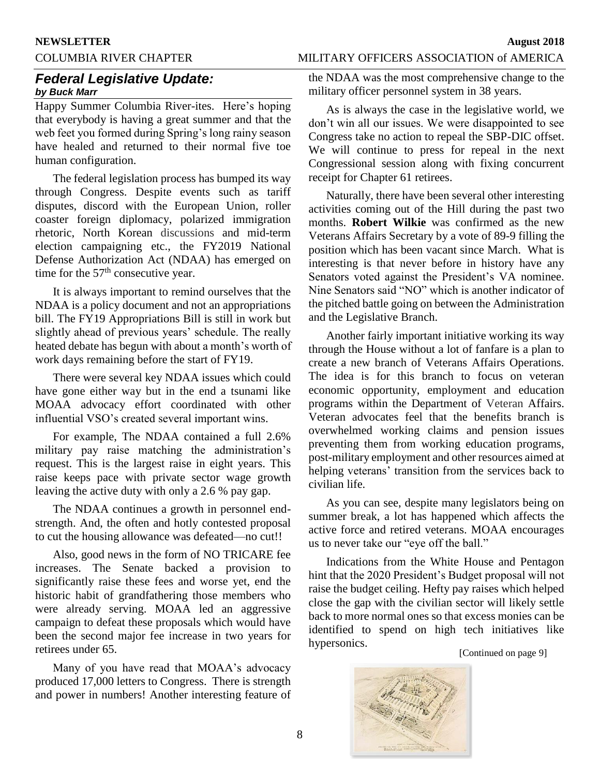## COLUMBIA RIVER CHAPTER MILITARY OFFICERS ASSOCIATION of AMERICA

## *Federal Legislative Update: by Buck Marr*

Happy Summer Columbia River-ites. Here's hoping that everybody is having a great summer and that the web feet you formed during Spring's long rainy season have healed and returned to their normal five toe human configuration.

The federal legislation process has bumped its way through Congress. Despite events such as tariff disputes, discord with the European Union, roller coaster foreign diplomacy, polarized immigration rhetoric, North Korean discussions and mid-term election campaigning etc., the FY2019 National Defense Authorization Act (NDAA) has emerged on time for the 57<sup>th</sup> consecutive year.

It is always important to remind ourselves that the NDAA is a policy document and not an appropriations bill. The FY19 Appropriations Bill is still in work but slightly ahead of previous years' schedule. The really heated debate has begun with about a month's worth of work days remaining before the start of FY19.

There were several key NDAA issues which could have gone either way but in the end a tsunami like MOAA advocacy effort coordinated with other influential VSO's created several important wins.

For example, The NDAA contained a full 2.6% military pay raise matching the administration's request. This is the largest raise in eight years. This raise keeps pace with private sector wage growth leaving the active duty with only a 2.6 % pay gap.

The NDAA continues a growth in personnel endstrength. And, the often and hotly contested proposal to cut the housing allowance was defeated—no cut!!

Also, good news in the form of NO TRICARE fee increases. The Senate backed a provision to significantly raise these fees and worse yet, end the historic habit of grandfathering those members who were already serving. MOAA led an aggressive campaign to defeat these proposals which would have been the second major fee increase in two years for retirees under 65.

Many of you have read that MOAA's advocacy produced 17,000 letters to Congress. There is strength and power in numbers! Another interesting feature of

the NDAA was the most comprehensive change to the military officer personnel system in 38 years.

As is always the case in the legislative world, we don't win all our issues. We were disappointed to see Congress take no action to repeal the SBP-DIC offset. We will continue to press for repeal in the next Congressional session along with fixing concurrent receipt for Chapter 61 retirees.

Naturally, there have been several other interesting activities coming out of the Hill during the past two months. **Robert Wilkie** was confirmed as the new Veterans Affairs Secretary by a vote of 89-9 filling the position which has been vacant since March. What is interesting is that never before in history have any Senators voted against the President's VA nominee. Nine Senators said "NO" which is another indicator of the pitched battle going on between the Administration and the Legislative Branch.

Another fairly important initiative working its way through the House without a lot of fanfare is a plan to create a new branch of Veterans Affairs Operations. The idea is for this branch to focus on veteran economic opportunity, employment and education programs within the Department of Veteran Affairs. Veteran advocates feel that the benefits branch is overwhelmed working claims and pension issues preventing them from working education programs, post-military employment and other resources aimed at helping veterans' transition from the services back to civilian life.

As you can see, despite many legislators being on summer break, a lot has happened which affects the active force and retired veterans. MOAA encourages us to never take our "eye off the ball."

Indications from the White House and Pentagon hint that the 2020 President's Budget proposal will not raise the budget ceiling. Hefty pay raises which helped close the gap with the civilian sector will likely settle back to more normal ones so that excess monies can be identified to spend on high tech initiatives like hypersonics.

[Continued on page 9]

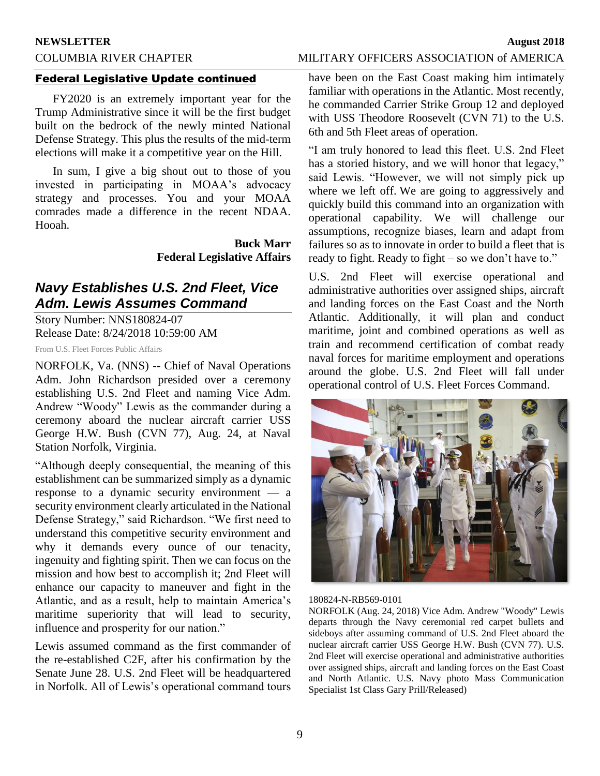#### **NEWSLETTER August 2018**

## COLUMBIA RIVER CHAPTER MILITARY OFFICERS ASSOCIATION of AMERICA

#### Federal Legislative Update continued

FY2020 is an extremely important year for the Trump Administrative since it will be the first budget built on the bedrock of the newly minted National Defense Strategy. This plus the results of the mid-term elections will make it a competitive year on the Hill.

In sum, I give a big shout out to those of you invested in participating in MOAA's advocacy strategy and processes. You and your MOAA comrades made a difference in the recent NDAA. Hooah.

> **Buck Marr Federal Legislative Affairs**

# *Navy Establishes U.S. 2nd Fleet, Vice Adm. Lewis Assumes Command*

Story Number: NNS180824-07 Release Date: 8/24/2018 10:59:00 AM

From U.S. Fleet Forces Public Affairs

NORFOLK, Va. (NNS) -- Chief of Naval Operations Adm. John Richardson presided over a ceremony establishing U.S. 2nd Fleet and naming Vice Adm. Andrew "Woody" Lewis as the commander during a ceremony aboard the nuclear aircraft carrier USS George H.W. Bush (CVN 77), Aug. 24, at Naval Station Norfolk, Virginia.

"Although deeply consequential, the meaning of this establishment can be summarized simply as a dynamic response to a dynamic security environment — a security environment clearly articulated in the National Defense Strategy," said Richardson. "We first need to understand this competitive security environment and why it demands every ounce of our tenacity, ingenuity and fighting spirit. Then we can focus on the mission and how best to accomplish it; 2nd Fleet will enhance our capacity to maneuver and fight in the Atlantic, and as a result, help to maintain America's maritime superiority that will lead to security, influence and prosperity for our nation."

Lewis assumed command as the first commander of the re-established C2F, after his confirmation by the Senate June 28. U.S. 2nd Fleet will be headquartered in Norfolk. All of Lewis's operational command tours have been on the East Coast making him intimately familiar with operations in the Atlantic. Most recently, he commanded Carrier Strike Group 12 and deployed with USS Theodore Roosevelt (CVN 71) to the U.S. 6th and 5th Fleet areas of operation.

"I am truly honored to lead this fleet. U.S. 2nd Fleet has a storied history, and we will honor that legacy," said Lewis. "However, we will not simply pick up where we left off. We are going to aggressively and quickly build this command into an organization with operational capability. We will challenge our assumptions, recognize biases, learn and adapt from failures so as to innovate in order to build a fleet that is ready to fight. Ready to fight – so we don't have to."

U.S. 2nd Fleet will exercise operational and administrative authorities over assigned ships, aircraft and landing forces on the East Coast and the North Atlantic. Additionally, it will plan and conduct maritime, joint and combined operations as well as train and recommend certification of combat ready naval forces for maritime employment and operations around the globe. U.S. 2nd Fleet will fall under operational control of U.S. Fleet Forces Command.



#### 180824-N-RB569-0101

NORFOLK (Aug. 24, 2018) Vice Adm. Andrew "Woody" Lewis departs through the Navy ceremonial red carpet bullets and sideboys after assuming command of U.S. 2nd Fleet aboard the nuclear aircraft carrier USS George H.W. Bush (CVN 77). U.S. 2nd Fleet will exercise operational and administrative authorities over assigned ships, aircraft and landing forces on the East Coast and North Atlantic. U.S. Navy photo Mass Communication Specialist 1st Class Gary Prill/Released)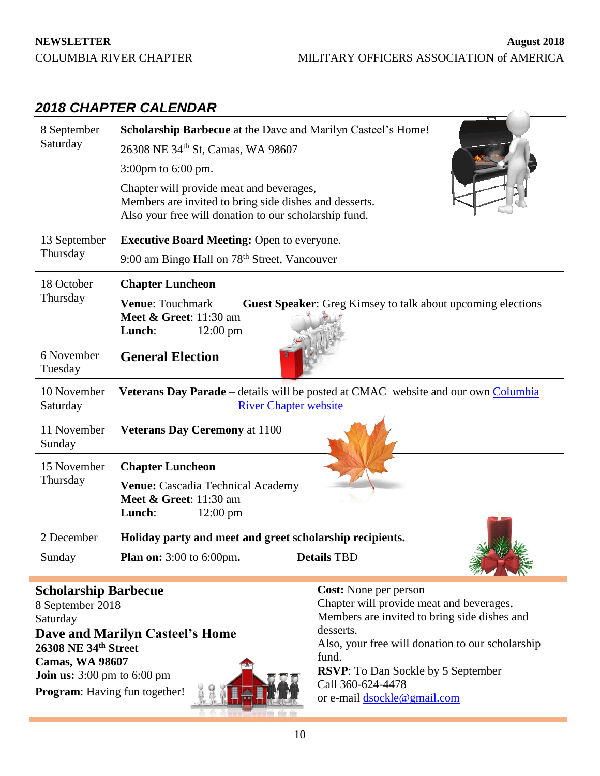# *2018 CHAPTER CALENDAR*

| 8 September                                     | Scholarship Barbecue at the Dave and Marilyn Casteel's Home!                                                                                                |  |  |  |
|-------------------------------------------------|-------------------------------------------------------------------------------------------------------------------------------------------------------------|--|--|--|
| Saturday                                        | 26308 NE 34th St, Camas, WA 98607                                                                                                                           |  |  |  |
|                                                 | 3:00pm to 6:00 pm.                                                                                                                                          |  |  |  |
|                                                 | Chapter will provide meat and beverages,<br>Members are invited to bring side dishes and desserts.<br>Also your free will donation to our scholarship fund. |  |  |  |
| 13 September                                    | <b>Executive Board Meeting: Open to everyone.</b>                                                                                                           |  |  |  |
| Thursday                                        | 9:00 am Bingo Hall on 78 <sup>th</sup> Street, Vancouver                                                                                                    |  |  |  |
| 18 October                                      | <b>Chapter Luncheon</b>                                                                                                                                     |  |  |  |
| Thursday                                        | <b>Venue: Touchmark</b><br><b>Guest Speaker:</b> Greg Kimsey to talk about upcoming elections<br>Meet & Greet: 11:30 am<br>Lunch:<br>$12:00 \text{ pm}$     |  |  |  |
| 6 November<br>Tuesday                           | <b>General Election</b>                                                                                                                                     |  |  |  |
| 10 November<br>Saturday                         | Veterans Day Parade – details will be posted at CMAC website and our own Columbia<br><b>River Chapter website</b>                                           |  |  |  |
| 11 November<br>Sunday                           | <b>Veterans Day Ceremony at 1100</b>                                                                                                                        |  |  |  |
| 15 November                                     | <b>Chapter Luncheon</b>                                                                                                                                     |  |  |  |
| Thursday                                        | Venue: Cascadia Technical Academy<br><b>Meet &amp; Greet:</b> 11:30 am<br>Lunch:<br>$12:00 \text{ pm}$                                                      |  |  |  |
| 2 December                                      | Holiday party and meet and greet scholarship recipients.                                                                                                    |  |  |  |
| Sunday                                          | <b>Details TBD</b><br><b>Plan on:</b> 3:00 to 6:00pm.                                                                                                       |  |  |  |
| <b>Scholarship Barbecue</b><br>8 Sentember 2018 | Cost: None per person<br>Chapter will provide meat and beverages.                                                                                           |  |  |  |

8 September 2018 Saturday **Dave and Marilyn Casteel's Home 26308 NE 34th Street Camas, WA 98607 Join us:** 3:00 pm to 6:00 pm **Program**: Having fun together!



Chapter will provide meat and beverages, Members are invited to bring side dishes and desserts. Also, your free will donation to our scholarship fund. **RSVP**: To Dan Sockle by 5 September Call 360-624-4478 or e-mail [dsockle@gmail.com](mailto:dsockle@gmail.com)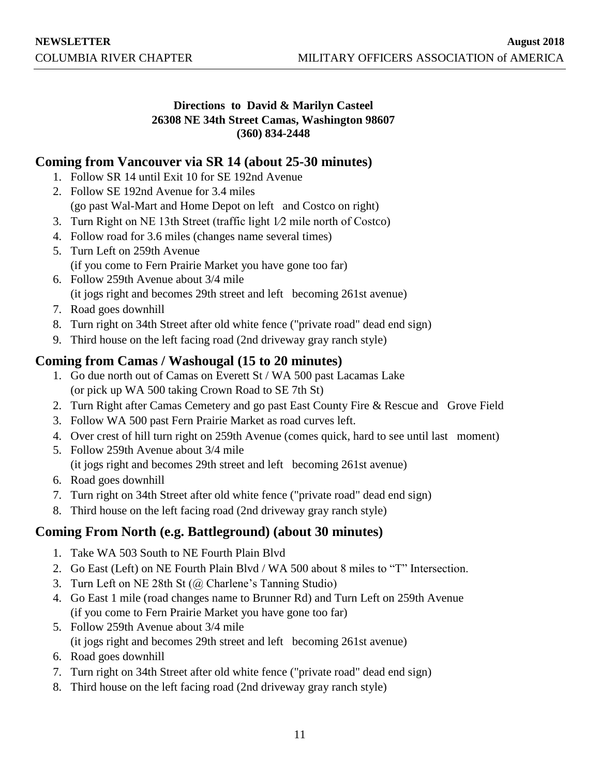## **Directions to David & Marilyn Casteel 26308 NE 34th Street Camas, Washington 98607 (360) 834-2448**

# **Coming from Vancouver via SR 14 (about 25-30 minutes)**

- 1. Follow SR 14 until Exit 10 for SE 192nd Avenue
- 2. Follow SE 192nd Avenue for 3.4 miles (go past Wal-Mart and Home Depot on left and Costco on right)
- 3. Turn Right on NE 13th Street (traffic light 1⁄2 mile north of Costco)
- 4. Follow road for 3.6 miles (changes name several times)
- 5. Turn Left on 259th Avenue (if you come to Fern Prairie Market you have gone too far)
- 6. Follow 259th Avenue about 3/4 mile (it jogs right and becomes 29th street and left becoming 261st avenue)
- 7. Road goes downhill
- 8. Turn right on 34th Street after old white fence ("private road" dead end sign)
- 9. Third house on the left facing road (2nd driveway gray ranch style)

# **Coming from Camas / Washougal (15 to 20 minutes)**

- 1. Go due north out of Camas on Everett St / WA 500 past Lacamas Lake (or pick up WA 500 taking Crown Road to SE 7th St)
- 2. Turn Right after Camas Cemetery and go past East County Fire & Rescue and Grove Field
- 3. Follow WA 500 past Fern Prairie Market as road curves left.
- 4. Over crest of hill turn right on 259th Avenue (comes quick, hard to see until last moment)
- 5. Follow 259th Avenue about 3/4 mile (it jogs right and becomes 29th street and left becoming 261st avenue)
- 6. Road goes downhill
- 7. Turn right on 34th Street after old white fence ("private road" dead end sign)
- 8. Third house on the left facing road (2nd driveway gray ranch style)

# **Coming From North (e.g. Battleground) (about 30 minutes)**

- 1. Take WA 503 South to NE Fourth Plain Blvd
- 2. Go East (Left) on NE Fourth Plain Blvd / WA 500 about 8 miles to "T" Intersection.
- 3. Turn Left on NE 28th St (@ Charlene's Tanning Studio)
- 4. Go East 1 mile (road changes name to Brunner Rd) and Turn Left on 259th Avenue (if you come to Fern Prairie Market you have gone too far)
- 5. Follow 259th Avenue about 3/4 mile (it jogs right and becomes 29th street and left becoming 261st avenue)
- 6. Road goes downhill
- 7. Turn right on 34th Street after old white fence ("private road" dead end sign)
- 8. Third house on the left facing road (2nd driveway gray ranch style)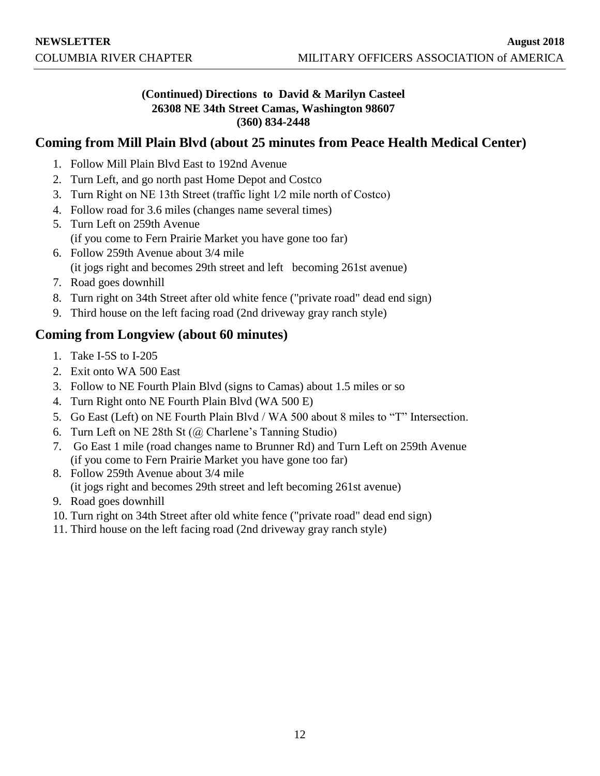## **(Continued) Directions to David & Marilyn Casteel 26308 NE 34th Street Camas, Washington 98607 (360) 834-2448**

# **Coming from Mill Plain Blvd (about 25 minutes from Peace Health Medical Center)**

- 1. Follow Mill Plain Blvd East to 192nd Avenue
- 2. Turn Left, and go north past Home Depot and Costco
- 3. Turn Right on NE 13th Street (traffic light 1⁄2 mile north of Costco)
- 4. Follow road for 3.6 miles (changes name several times)
- 5. Turn Left on 259th Avenue (if you come to Fern Prairie Market you have gone too far)
- 6. Follow 259th Avenue about 3/4 mile (it jogs right and becomes 29th street and left becoming 261st avenue)
- 7. Road goes downhill
- 8. Turn right on 34th Street after old white fence ("private road" dead end sign)
- 9. Third house on the left facing road (2nd driveway gray ranch style)

# **Coming from Longview (about 60 minutes)**

- 1. Take I-5S to I-205
- 2. Exit onto WA 500 East
- 3. Follow to NE Fourth Plain Blvd (signs to Camas) about 1.5 miles or so
- 4. Turn Right onto NE Fourth Plain Blvd (WA 500 E)
- 5. Go East (Left) on NE Fourth Plain Blvd / WA 500 about 8 miles to "T" Intersection.
- 6. Turn Left on NE 28th St (@ Charlene's Tanning Studio)
- 7. Go East 1 mile (road changes name to Brunner Rd) and Turn Left on 259th Avenue (if you come to Fern Prairie Market you have gone too far)
- 8. Follow 259th Avenue about 3/4 mile (it jogs right and becomes 29th street and left becoming 261st avenue)
- 9. Road goes downhill
- 10. Turn right on 34th Street after old white fence ("private road" dead end sign)
- 11. Third house on the left facing road (2nd driveway gray ranch style)